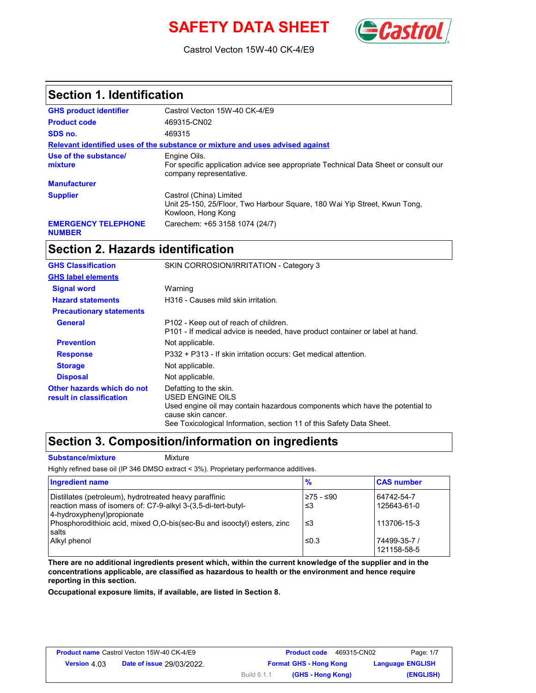# **SAFETY DATA SHEET** (Castro



Castrol Vecton 15W-40 CK-4/E9

### **Section 1. Identification**

| <b>GHS product identifier</b>               | Castrol Vecton 15W-40 CK-4/E9                                                                                                  |
|---------------------------------------------|--------------------------------------------------------------------------------------------------------------------------------|
| <b>Product code</b>                         | 469315-CN02                                                                                                                    |
| SDS no.                                     | 469315                                                                                                                         |
|                                             | Relevant identified uses of the substance or mixture and uses advised against                                                  |
| Use of the substance/<br>mixture            | Engine Oils.<br>For specific application advice see appropriate Technical Data Sheet or consult our<br>company representative. |
| <b>Manufacturer</b>                         |                                                                                                                                |
| <b>Supplier</b>                             | Castrol (China) Limited<br>Unit 25-150, 25/Floor, Two Harbour Square, 180 Wai Yip Street, Kwun Tong,<br>Kowloon, Hong Kong     |
| <b>EMERGENCY TELEPHONE</b><br><b>NUMBER</b> | Carechem: +65 3158 1074 (24/7)                                                                                                 |

## **Section 2. Hazards identification**

| <b>GHS Classification</b>                              | SKIN CORROSION/IRRITATION - Category 3                                                                                                                                                                                   |
|--------------------------------------------------------|--------------------------------------------------------------------------------------------------------------------------------------------------------------------------------------------------------------------------|
| <b>GHS label elements</b>                              |                                                                                                                                                                                                                          |
| <b>Signal word</b>                                     | Warning                                                                                                                                                                                                                  |
| <b>Hazard statements</b>                               | H316 - Causes mild skin irritation.                                                                                                                                                                                      |
| <b>Precautionary statements</b>                        |                                                                                                                                                                                                                          |
| <b>General</b>                                         | P102 - Keep out of reach of children.<br>P101 - If medical advice is needed, have product container or label at hand.                                                                                                    |
| <b>Prevention</b>                                      | Not applicable.                                                                                                                                                                                                          |
| <b>Response</b>                                        | P332 + P313 - If skin irritation occurs: Get medical attention.                                                                                                                                                          |
| <b>Storage</b>                                         | Not applicable.                                                                                                                                                                                                          |
| <b>Disposal</b>                                        | Not applicable.                                                                                                                                                                                                          |
| Other hazards which do not<br>result in classification | Defatting to the skin.<br>USED ENGINE OILS<br>Used engine oil may contain hazardous components which have the potential to<br>cause skin cancer.<br>See Toxicological Information, section 11 of this Safety Data Sheet. |

### **Section 3. Composition/information on ingredients**

**Substance/mixture Mixture** 

Highly refined base oil (IP 346 DMSO extract < 3%). Proprietary performance additives.

| Ingredient name                                                                                                                                        | $\frac{9}{6}$    | <b>CAS number</b>           |
|--------------------------------------------------------------------------------------------------------------------------------------------------------|------------------|-----------------------------|
| Distillates (petroleum), hydrotreated heavy paraffinic<br>reaction mass of isomers of: C7-9-alkyl 3-(3,5-di-tert-butyl-<br>4-hydroxyphenyl) propionate | l≥75 - ≤90<br>≤3 | 64742-54-7<br>125643-61-0   |
| Phosphorodithioic acid, mixed O,O-bis(sec-Bu and isooctyl) esters, zinc<br>salts                                                                       | ≤3               | 113706-15-3                 |
| Alkyl phenol                                                                                                                                           | ≤0.3             | 74499-35-7 /<br>121158-58-5 |

**There are no additional ingredients present which, within the current knowledge of the supplier and in the concentrations applicable, are classified as hazardous to health or the environment and hence require reporting in this section.**

**Occupational exposure limits, if available, are listed in Section 8.**

| <b>Product name Castrol Vecton 15W-40 CK-4/E9</b> |                                  |             | 469315-CN02<br><b>Product code</b> | Page: 1/7               |
|---------------------------------------------------|----------------------------------|-------------|------------------------------------|-------------------------|
| <b>Version 4.03</b>                               | <b>Date of issue 29/03/2022.</b> |             | <b>Format GHS - Hong Kong</b>      | <b>Language ENGLISH</b> |
|                                                   |                                  | Build 6.1.1 | (GHS - Hong Kong)                  | (ENGLISH)               |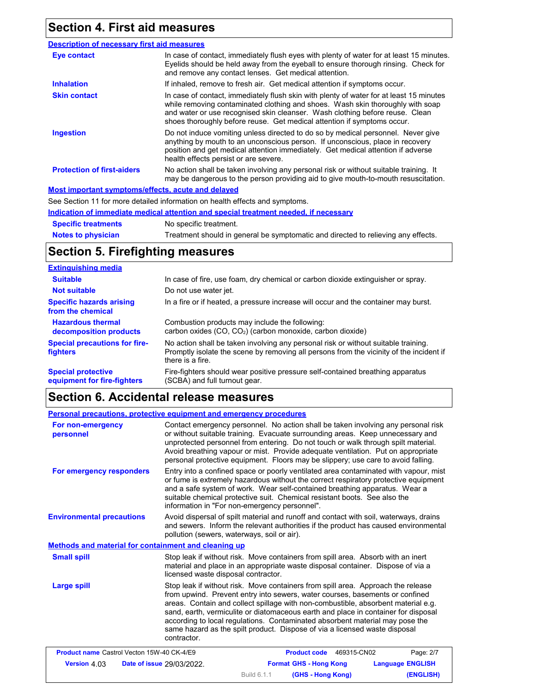# **Section 4. First aid measures**

| <b>Description of necessary first aid measures</b> |                                                                                                                                                                                                                                                                                                                                      |
|----------------------------------------------------|--------------------------------------------------------------------------------------------------------------------------------------------------------------------------------------------------------------------------------------------------------------------------------------------------------------------------------------|
| Eye contact                                        | In case of contact, immediately flush eyes with plenty of water for at least 15 minutes.<br>Eyelids should be held away from the eyeball to ensure thorough rinsing. Check for<br>and remove any contact lenses. Get medical attention.                                                                                              |
| <b>Inhalation</b>                                  | If inhaled, remove to fresh air. Get medical attention if symptoms occur.                                                                                                                                                                                                                                                            |
| <b>Skin contact</b>                                | In case of contact, immediately flush skin with plenty of water for at least 15 minutes<br>while removing contaminated clothing and shoes. Wash skin thoroughly with soap<br>and water or use recognised skin cleanser. Wash clothing before reuse. Clean<br>shoes thoroughly before reuse. Get medical attention if symptoms occur. |
| <b>Ingestion</b>                                   | Do not induce vomiting unless directed to do so by medical personnel. Never give<br>anything by mouth to an unconscious person. If unconscious, place in recovery<br>position and get medical attention immediately. Get medical attention if adverse<br>health effects persist or are severe.                                       |
| <b>Protection of first-aiders</b>                  | No action shall be taken involving any personal risk or without suitable training. It<br>may be dangerous to the person providing aid to give mouth-to-mouth resuscitation.                                                                                                                                                          |
| Most important symptoms/effects, acute and delayed |                                                                                                                                                                                                                                                                                                                                      |
|                                                    | See Section 11 for more detailed information on health effects and symptoms.                                                                                                                                                                                                                                                         |
|                                                    | Indication of immediate medical attention and special treatment needed, if necessary                                                                                                                                                                                                                                                 |

**Notes to physician Specific treatments** No specific treatment. Treatment should in general be symptomatic and directed to relieving any effects.

## **Section 5. Firefighting measures**

| <b>Extinguishing media</b>                               |                                                                                                                                                                                                   |
|----------------------------------------------------------|---------------------------------------------------------------------------------------------------------------------------------------------------------------------------------------------------|
| <b>Suitable</b>                                          | In case of fire, use foam, dry chemical or carbon dioxide extinguisher or spray.                                                                                                                  |
| <b>Not suitable</b>                                      | Do not use water jet.                                                                                                                                                                             |
| <b>Specific hazards arising</b><br>from the chemical     | In a fire or if heated, a pressure increase will occur and the container may burst.                                                                                                               |
| <b>Hazardous thermal</b><br>decomposition products       | Combustion products may include the following:<br>carbon oxides $(CO, CO2)$ (carbon monoxide, carbon dioxide)                                                                                     |
| <b>Special precautions for fire-</b><br>fighters         | No action shall be taken involving any personal risk or without suitable training.<br>Promptly isolate the scene by removing all persons from the vicinity of the incident if<br>there is a fire. |
| <b>Special protective</b><br>equipment for fire-fighters | Fire-fighters should wear positive pressure self-contained breathing apparatus<br>(SCBA) and full turnout gear.                                                                                   |

## **Section 6. Accidental release measures**

| Personal precautions, protective equipment and emergency procedures |                                               |                                                                                                                                                                                                                                                                                                                                                                                                                                                                                                           |                         |
|---------------------------------------------------------------------|-----------------------------------------------|-----------------------------------------------------------------------------------------------------------------------------------------------------------------------------------------------------------------------------------------------------------------------------------------------------------------------------------------------------------------------------------------------------------------------------------------------------------------------------------------------------------|-------------------------|
| For non-emergency<br>personnel                                      |                                               | Contact emergency personnel. No action shall be taken involving any personal risk<br>or without suitable training. Evacuate surrounding areas. Keep unnecessary and<br>unprotected personnel from entering. Do not touch or walk through spilt material.<br>Avoid breathing vapour or mist. Provide adequate ventilation. Put on appropriate<br>personal protective equipment. Floors may be slippery; use care to avoid falling.                                                                         |                         |
| For emergency responders                                            | information in "For non-emergency personnel". | Entry into a confined space or poorly ventilated area contaminated with vapour, mist<br>or fume is extremely hazardous without the correct respiratory protective equipment<br>and a safe system of work. Wear self-contained breathing apparatus. Wear a<br>suitable chemical protective suit. Chemical resistant boots. See also the                                                                                                                                                                    |                         |
| <b>Environmental precautions</b>                                    | pollution (sewers, waterways, soil or air).   | Avoid dispersal of spilt material and runoff and contact with soil, waterways, drains<br>and sewers. Inform the relevant authorities if the product has caused environmental                                                                                                                                                                                                                                                                                                                              |                         |
| Methods and material for containment and cleaning up                |                                               |                                                                                                                                                                                                                                                                                                                                                                                                                                                                                                           |                         |
| <b>Small spill</b>                                                  | licensed waste disposal contractor.           | Stop leak if without risk. Move containers from spill area. Absorb with an inert<br>material and place in an appropriate waste disposal container. Dispose of via a                                                                                                                                                                                                                                                                                                                                       |                         |
| Large spill                                                         | contractor.                                   | Stop leak if without risk. Move containers from spill area. Approach the release<br>from upwind. Prevent entry into sewers, water courses, basements or confined<br>areas. Contain and collect spillage with non-combustible, absorbent material e.g.<br>sand, earth, vermiculite or diatomaceous earth and place in container for disposal<br>according to local regulations. Contaminated absorbent material may pose the<br>same hazard as the spilt product. Dispose of via a licensed waste disposal |                         |
| <b>Product name Castrol Vecton 15W-40 CK-4/E9</b>                   |                                               | <b>Product code</b><br>469315-CN02                                                                                                                                                                                                                                                                                                                                                                                                                                                                        | Page: 2/7               |
| Version 4.03                                                        | Date of issue 29/03/2022.                     | <b>Format GHS - Hong Kong</b>                                                                                                                                                                                                                                                                                                                                                                                                                                                                             | <b>Language ENGLISH</b> |

Build 6.1.1

**(GHS - Hong Kong) (ENGLISH)**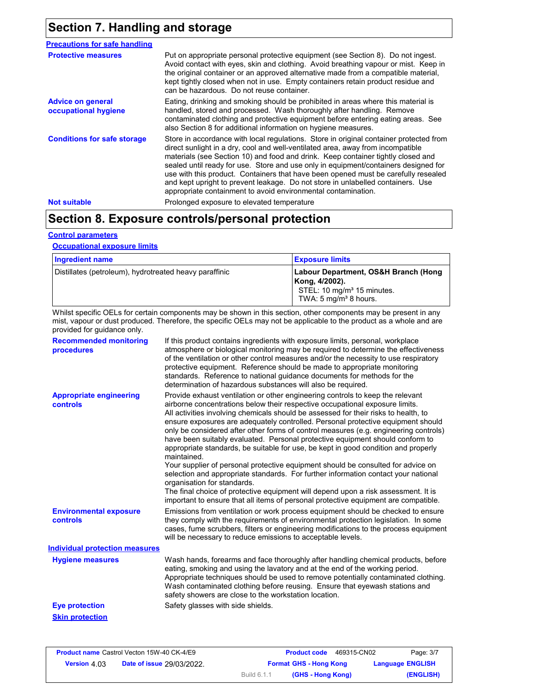# **Section 7. Handling and storage**

| <b>Precautions for safe handling</b>             |                                                                                                                                                                                                                                                                                                                                                                                                                                                                                                                                                                                                |
|--------------------------------------------------|------------------------------------------------------------------------------------------------------------------------------------------------------------------------------------------------------------------------------------------------------------------------------------------------------------------------------------------------------------------------------------------------------------------------------------------------------------------------------------------------------------------------------------------------------------------------------------------------|
| <b>Protective measures</b>                       | Put on appropriate personal protective equipment (see Section 8). Do not ingest.<br>Avoid contact with eyes, skin and clothing. Avoid breathing vapour or mist. Keep in<br>the original container or an approved alternative made from a compatible material,<br>kept tightly closed when not in use. Empty containers retain product residue and<br>can be hazardous. Do not reuse container.                                                                                                                                                                                                 |
| <b>Advice on general</b><br>occupational hygiene | Eating, drinking and smoking should be prohibited in areas where this material is<br>handled, stored and processed. Wash thoroughly after handling. Remove<br>contaminated clothing and protective equipment before entering eating areas. See<br>also Section 8 for additional information on hygiene measures.                                                                                                                                                                                                                                                                               |
| <b>Conditions for safe storage</b>               | Store in accordance with local regulations. Store in original container protected from<br>direct sunlight in a dry, cool and well-ventilated area, away from incompatible<br>materials (see Section 10) and food and drink. Keep container tightly closed and<br>sealed until ready for use. Store and use only in equipment/containers designed for<br>use with this product. Containers that have been opened must be carefully resealed<br>and kept upright to prevent leakage. Do not store in unlabelled containers. Use<br>appropriate containment to avoid environmental contamination. |
| <b>Not suitable</b>                              | Prolonged exposure to elevated temperature                                                                                                                                                                                                                                                                                                                                                                                                                                                                                                                                                     |

## **Section 8. Exposure controls/personal protection**

#### **Control parameters**

#### **Occupational exposure limits**

| Ingredient name                                        | <b>Exposure limits</b>                                                                                                               |
|--------------------------------------------------------|--------------------------------------------------------------------------------------------------------------------------------------|
| Distillates (petroleum), hydrotreated heavy paraffinic | Labour Department, OS&H Branch (Hong<br>Kong, 4/2002).<br>STEL: 10 mg/m <sup>3</sup> 15 minutes.<br>TWA: $5 \text{ mg/m}^3$ 8 hours. |

Whilst specific OELs for certain components may be shown in this section, other components may be present in any mist, vapour or dust produced. Therefore, the specific OELs may not be applicable to the product as a whole and are provided for guidance only.

| <b>Recommended monitoring</b><br>procedures       | If this product contains ingredients with exposure limits, personal, workplace<br>atmosphere or biological monitoring may be required to determine the effectiveness<br>of the ventilation or other control measures and/or the necessity to use respiratory<br>protective equipment. Reference should be made to appropriate monitoring<br>standards. Reference to national guidance documents for methods for the<br>determination of hazardous substances will also be required.                                                                                                                                                                                                                                                                                                                                                                                                                                                                                                                           |
|---------------------------------------------------|---------------------------------------------------------------------------------------------------------------------------------------------------------------------------------------------------------------------------------------------------------------------------------------------------------------------------------------------------------------------------------------------------------------------------------------------------------------------------------------------------------------------------------------------------------------------------------------------------------------------------------------------------------------------------------------------------------------------------------------------------------------------------------------------------------------------------------------------------------------------------------------------------------------------------------------------------------------------------------------------------------------|
| <b>Appropriate engineering</b><br><b>controls</b> | Provide exhaust ventilation or other engineering controls to keep the relevant<br>airborne concentrations below their respective occupational exposure limits.<br>All activities involving chemicals should be assessed for their risks to health, to<br>ensure exposures are adequately controlled. Personal protective equipment should<br>only be considered after other forms of control measures (e.g. engineering controls)<br>have been suitably evaluated. Personal protective equipment should conform to<br>appropriate standards, be suitable for use, be kept in good condition and properly<br>maintained.<br>Your supplier of personal protective equipment should be consulted for advice on<br>selection and appropriate standards. For further information contact your national<br>organisation for standards.<br>The final choice of protective equipment will depend upon a risk assessment. It is<br>important to ensure that all items of personal protective equipment are compatible. |
| <b>Environmental exposure</b><br>controls         | Emissions from ventilation or work process equipment should be checked to ensure<br>they comply with the requirements of environmental protection legislation. In some<br>cases, fume scrubbers, filters or engineering modifications to the process equipment<br>will be necessary to reduce emissions to acceptable levels.                                                                                                                                                                                                                                                                                                                                                                                                                                                                                                                                                                                                                                                                                 |
| <b>Individual protection measures</b>             |                                                                                                                                                                                                                                                                                                                                                                                                                                                                                                                                                                                                                                                                                                                                                                                                                                                                                                                                                                                                               |
| <b>Hygiene measures</b>                           | Wash hands, forearms and face thoroughly after handling chemical products, before<br>eating, smoking and using the lavatory and at the end of the working period.<br>Appropriate techniques should be used to remove potentially contaminated clothing.<br>Wash contaminated clothing before reusing. Ensure that eyewash stations and<br>safety showers are close to the workstation location.                                                                                                                                                                                                                                                                                                                                                                                                                                                                                                                                                                                                               |
| <b>Eye protection</b>                             | Safety glasses with side shields.                                                                                                                                                                                                                                                                                                                                                                                                                                                                                                                                                                                                                                                                                                                                                                                                                                                                                                                                                                             |
| <b>Skin protection</b>                            |                                                                                                                                                                                                                                                                                                                                                                                                                                                                                                                                                                                                                                                                                                                                                                                                                                                                                                                                                                                                               |

| <b>Product name Castrol Vecton 15W-40 CK-4/E9</b> |                                  |             | 469315-CN02<br><b>Product code</b> | Page: 3/7               |
|---------------------------------------------------|----------------------------------|-------------|------------------------------------|-------------------------|
| <b>Version 4.03</b>                               | <b>Date of issue 29/03/2022.</b> |             | <b>Format GHS - Hong Kong</b>      | <b>Language ENGLISH</b> |
|                                                   |                                  | Build 6.1.1 | (GHS - Hong Kong)                  | (ENGLISH)               |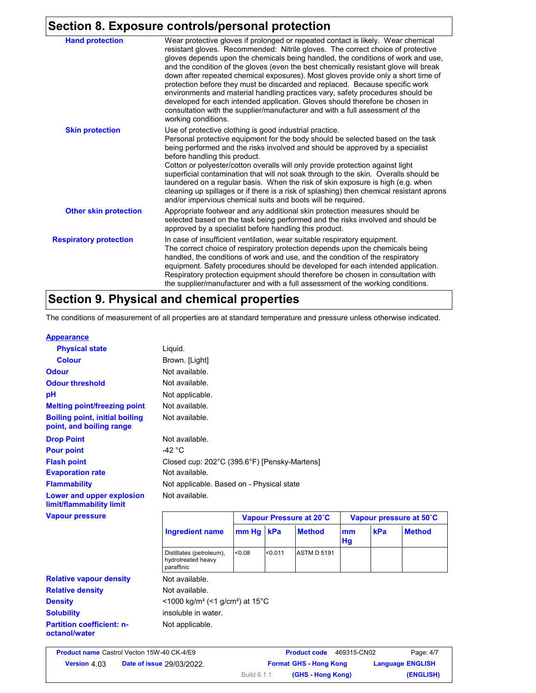# **Section 8. Exposure controls/personal protection**

| <b>Hand protection</b>        | Wear protective gloves if prolonged or repeated contact is likely. Wear chemical<br>resistant gloves. Recommended: Nitrile gloves. The correct choice of protective<br>gloves depends upon the chemicals being handled, the conditions of work and use,<br>and the condition of the gloves (even the best chemically resistant glove will break<br>down after repeated chemical exposures). Most gloves provide only a short time of<br>protection before they must be discarded and replaced. Because specific work<br>environments and material handling practices vary, safety procedures should be<br>developed for each intended application. Gloves should therefore be chosen in<br>consultation with the supplier/manufacturer and with a full assessment of the<br>working conditions. |
|-------------------------------|-------------------------------------------------------------------------------------------------------------------------------------------------------------------------------------------------------------------------------------------------------------------------------------------------------------------------------------------------------------------------------------------------------------------------------------------------------------------------------------------------------------------------------------------------------------------------------------------------------------------------------------------------------------------------------------------------------------------------------------------------------------------------------------------------|
| <b>Skin protection</b>        | Use of protective clothing is good industrial practice.<br>Personal protective equipment for the body should be selected based on the task<br>being performed and the risks involved and should be approved by a specialist<br>before handling this product.<br>Cotton or polyester/cotton overalls will only provide protection against light<br>superficial contamination that will not soak through to the skin. Overalls should be<br>laundered on a regular basis. When the risk of skin exposure is high (e.g. when<br>cleaning up spillages or if there is a risk of splashing) then chemical resistant aprons<br>and/or impervious chemical suits and boots will be required.                                                                                                           |
| <b>Other skin protection</b>  | Appropriate footwear and any additional skin protection measures should be<br>selected based on the task being performed and the risks involved and should be<br>approved by a specialist before handling this product.                                                                                                                                                                                                                                                                                                                                                                                                                                                                                                                                                                         |
| <b>Respiratory protection</b> | In case of insufficient ventilation, wear suitable respiratory equipment.<br>The correct choice of respiratory protection depends upon the chemicals being<br>handled, the conditions of work and use, and the condition of the respiratory<br>equipment. Safety procedures should be developed for each intended application.<br>Respiratory protection equipment should therefore be chosen in consultation with<br>the supplier/manufacturer and with a full assessment of the working conditions.                                                                                                                                                                                                                                                                                           |

## **Section 9. Physical and chemical properties**

The conditions of measurement of all properties are at standard temperature and pressure unless otherwise indicated.

#### **Appearance**

| <b>Physical state</b>                                             | Liquid.                                      |       |     |                         |          |     |                         |
|-------------------------------------------------------------------|----------------------------------------------|-------|-----|-------------------------|----------|-----|-------------------------|
| <b>Colour</b>                                                     | Brown. [Light]                               |       |     |                         |          |     |                         |
| <b>Odour</b>                                                      | Not available.                               |       |     |                         |          |     |                         |
| <b>Odour threshold</b>                                            | Not available.                               |       |     |                         |          |     |                         |
| рH                                                                | Not applicable.                              |       |     |                         |          |     |                         |
| <b>Melting point/freezing point</b>                               | Not available.                               |       |     |                         |          |     |                         |
| <b>Boiling point, initial boiling</b><br>point, and boiling range | Not available.                               |       |     |                         |          |     |                         |
| <b>Drop Point</b>                                                 | Not available.                               |       |     |                         |          |     |                         |
| <b>Pour point</b>                                                 | -42 $^{\circ}$ C                             |       |     |                         |          |     |                         |
| <b>Flash point</b>                                                | Closed cup: 202°C (395.6°F) [Pensky-Martens] |       |     |                         |          |     |                         |
| <b>Evaporation rate</b>                                           | Not available.                               |       |     |                         |          |     |                         |
| <b>Flammability</b>                                               | Not applicable. Based on - Physical state    |       |     |                         |          |     |                         |
| Lower and upper explosion<br>limit/flammability limit             | Not available.                               |       |     |                         |          |     |                         |
| <b>Vapour pressure</b>                                            |                                              |       |     | Vapour Pressure at 20°C |          |     | Vapour pressure at 50°C |
|                                                                   | <b>Ingredient name</b>                       | mm Hg | kPa | <b>Method</b>           | mm<br>Hg | kPa | <b>Method</b>           |

|                                                   | paraffinic                                                              |  |  |  |
|---------------------------------------------------|-------------------------------------------------------------------------|--|--|--|
| <b>Relative vapour density</b>                    | Not available.                                                          |  |  |  |
| <b>Relative density</b>                           | Not available.                                                          |  |  |  |
| <b>Density</b>                                    | $<$ 1000 kg/m <sup>3</sup> (<1 g/cm <sup>3</sup> ) at 15 <sup>°</sup> C |  |  |  |
| <b>Solubility</b>                                 | insoluble in water.                                                     |  |  |  |
| <b>Partition coefficient: n-</b><br>octanol/water | Not applicable.                                                         |  |  |  |
|                                                   |                                                                         |  |  |  |

Distillates (petroleum), <0.08 hydrotreated heavy

|                     | <b>Product name Castrol Vecton 15W-40 CK-4/E9</b> |             | <b>Product code</b><br>469315-CN02 | Page: 4/7               |
|---------------------|---------------------------------------------------|-------------|------------------------------------|-------------------------|
| <b>Version 4 03</b> | <b>Date of issue 29/03/2022.</b>                  |             | <b>Format GHS - Hong Kong</b>      | <b>Language ENGLISH</b> |
|                     |                                                   | Build 6.1.1 | (GHS - Hong Kong)                  | (ENGLISH)               |

<0.08 <0.011 ASTM D 5191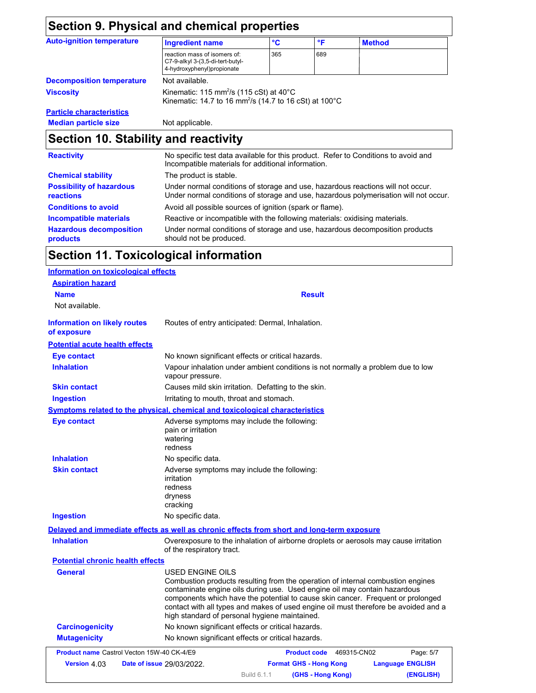| <b>Section 9. Physical and chemical properties</b>                                                                                                                                                                            |                                                                                                                                                 |     |              |               |
|-------------------------------------------------------------------------------------------------------------------------------------------------------------------------------------------------------------------------------|-------------------------------------------------------------------------------------------------------------------------------------------------|-----|--------------|---------------|
| <b>Auto-ignition temperature</b>                                                                                                                                                                                              | <b>Ingredient name</b>                                                                                                                          | °C  | $\mathsf{P}$ | <b>Method</b> |
|                                                                                                                                                                                                                               | reaction mass of isomers of:<br>C7-9-alkyl 3-(3,5-di-tert-butyl-<br>4-hydroxyphenyl)propionate                                                  | 365 | 689          |               |
| <b>Decomposition temperature</b>                                                                                                                                                                                              | Not available.                                                                                                                                  |     |              |               |
| <b>Viscosity</b>                                                                                                                                                                                                              | Kinematic: 115 mm <sup>2</sup> /s (115 cSt) at 40 $^{\circ}$ C<br>Kinematic: 14.7 to 16 mm <sup>2</sup> /s (14.7 to 16 cSt) at 100 $^{\circ}$ C |     |              |               |
| <b>Particle characteristics</b>                                                                                                                                                                                               |                                                                                                                                                 |     |              |               |
| <b>Median particle size</b>                                                                                                                                                                                                   | Not applicable.                                                                                                                                 |     |              |               |
| Section 10. Stability and reactivity                                                                                                                                                                                          |                                                                                                                                                 |     |              |               |
| <b>Reactivity</b>                                                                                                                                                                                                             | No specific test data available for this product. Refer to Conditions to avoid and<br>Incompatible materials for additional information.        |     |              |               |
| <b>Chemical stability</b>                                                                                                                                                                                                     | The product is stable.                                                                                                                          |     |              |               |
| The control of the control of the control of the control of the control of the control of the control of the control of the control of the control of the control of the control of the control of the control of the control | l la descripción el consultito de la formación de la desde la consultación de la filma de la filma di la cons                                   |     |              |               |

| <b>Possibility of hazardous</b> | Under normal conditions of storage and use, hazardous reactions will not occur.      |
|---------------------------------|--------------------------------------------------------------------------------------|
| <b>reactions</b>                | Under normal conditions of storage and use, hazardous polymerisation will not occur. |
| <b>Conditions to avoid</b>      | Avoid all possible sources of ignition (spark or flame).                             |
| Incompatible materials          | Reactive or incompatible with the following materials: oxidising materials.          |
| <b>Hazardous decomposition</b>  | Under normal conditions of storage and use, hazardous decomposition products         |
| <b>products</b>                 | should not be produced.                                                              |

# **Section 11. Toxicological information**

| Information on toxicological effects               |                                                                                                                                                                                                                                                                                                                                                                                                             |
|----------------------------------------------------|-------------------------------------------------------------------------------------------------------------------------------------------------------------------------------------------------------------------------------------------------------------------------------------------------------------------------------------------------------------------------------------------------------------|
| <b>Aspiration hazard</b>                           |                                                                                                                                                                                                                                                                                                                                                                                                             |
| <b>Name</b>                                        | <b>Result</b>                                                                                                                                                                                                                                                                                                                                                                                               |
| Not available.                                     |                                                                                                                                                                                                                                                                                                                                                                                                             |
| <b>Information on likely routes</b><br>of exposure | Routes of entry anticipated: Dermal, Inhalation.                                                                                                                                                                                                                                                                                                                                                            |
| <b>Potential acute health effects</b>              |                                                                                                                                                                                                                                                                                                                                                                                                             |
| <b>Eye contact</b>                                 | No known significant effects or critical hazards.                                                                                                                                                                                                                                                                                                                                                           |
| <b>Inhalation</b>                                  | Vapour inhalation under ambient conditions is not normally a problem due to low<br>vapour pressure.                                                                                                                                                                                                                                                                                                         |
| <b>Skin contact</b>                                | Causes mild skin irritation. Defatting to the skin.                                                                                                                                                                                                                                                                                                                                                         |
| <b>Ingestion</b>                                   | Irritating to mouth, throat and stomach.                                                                                                                                                                                                                                                                                                                                                                    |
|                                                    | Symptoms related to the physical, chemical and toxicological characteristics                                                                                                                                                                                                                                                                                                                                |
| <b>Eve contact</b>                                 | Adverse symptoms may include the following:<br>pain or irritation<br>watering<br>redness                                                                                                                                                                                                                                                                                                                    |
| <b>Inhalation</b>                                  | No specific data.                                                                                                                                                                                                                                                                                                                                                                                           |
| <b>Skin contact</b>                                | Adverse symptoms may include the following:<br>irritation<br>redness<br>dryness<br>cracking                                                                                                                                                                                                                                                                                                                 |
| <b>Ingestion</b>                                   | No specific data.                                                                                                                                                                                                                                                                                                                                                                                           |
|                                                    | Delayed and immediate effects as well as chronic effects from short and long-term exposure                                                                                                                                                                                                                                                                                                                  |
| <b>Inhalation</b>                                  | Overexposure to the inhalation of airborne droplets or aerosols may cause irritation<br>of the respiratory tract.                                                                                                                                                                                                                                                                                           |
| <b>Potential chronic health effects</b>            |                                                                                                                                                                                                                                                                                                                                                                                                             |
| General                                            | USED ENGINE OILS<br>Combustion products resulting from the operation of internal combustion engines<br>contaminate engine oils during use. Used engine oil may contain hazardous<br>components which have the potential to cause skin cancer. Frequent or prolonged<br>contact with all types and makes of used engine oil must therefore be avoided and a<br>high standard of personal hygiene maintained. |
| <b>Carcinogenicity</b>                             | No known significant effects or critical hazards.                                                                                                                                                                                                                                                                                                                                                           |
| <b>Mutagenicity</b>                                | No known significant effects or critical hazards.                                                                                                                                                                                                                                                                                                                                                           |
| <b>Product name Castrol Vecton 15W-40 CK-4/E9</b>  | 469315-CN02<br><b>Product code</b><br>Page: 5/7                                                                                                                                                                                                                                                                                                                                                             |
| Version 4.03                                       | <b>Format GHS - Hong Kong</b><br><b>Date of issue 29/03/2022.</b><br><b>Language ENGLISH</b>                                                                                                                                                                                                                                                                                                                |
|                                                    | Build 6.1.1<br>(GHS - Hong Kong)<br>(ENGLISH)                                                                                                                                                                                                                                                                                                                                                               |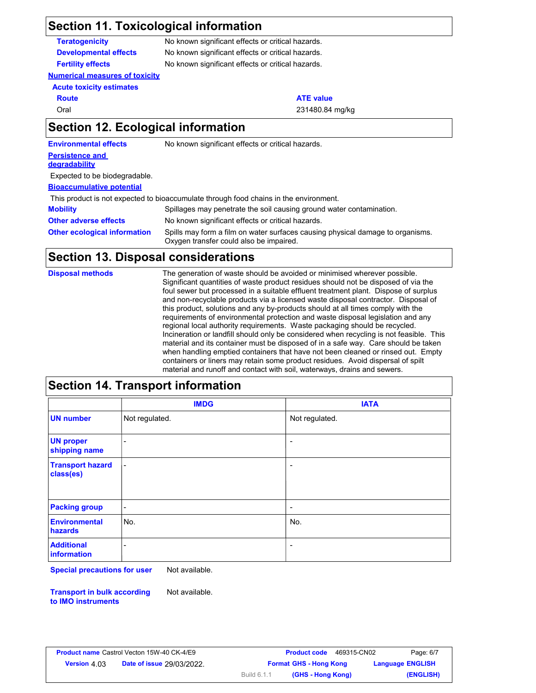# **Section 11. Toxicological information**

| <b>Teratogenicity</b>                     | No known significant effects or critical hazards. |
|-------------------------------------------|---------------------------------------------------|
| <b>Developmental effects</b>              | No known significant effects or critical hazards. |
| <b>Fertility effects</b>                  | No known significant effects or critical hazards. |
| <b>Numerical measures of toxicity</b>     |                                                   |
| <b>Acute toxicity estimates</b>           |                                                   |
| <b>Route</b>                              | <b>ATE value</b>                                  |
| Oral                                      | 231480.84 mg/kg                                   |
| <b>Section 12. Ecological information</b> |                                                   |

**Environmental effects** No known significant effects or critical hazards.

#### **Persistence and degradability**

Expected to be biodegradable.

#### **Bioaccumulative potential**

This product is not expected to bioaccumulate through food chains in the environment.

| <b>Mobility</b>                     | Spillages may penetrate the soil causing ground water contamination.                                                      |
|-------------------------------------|---------------------------------------------------------------------------------------------------------------------------|
| <b>Other adverse effects</b>        | No known significant effects or critical hazards.                                                                         |
| <b>Other ecological information</b> | Spills may form a film on water surfaces causing physical damage to organisms.<br>Oxygen transfer could also be impaired. |

## **Section 13. Disposal considerations**

| <b>Disposal methods</b> | The generation of waste should be avoided or minimised wherever possible.<br>Significant quantities of waste product residues should not be disposed of via the<br>foul sewer but processed in a suitable effluent treatment plant. Dispose of surplus<br>and non-recyclable products via a licensed waste disposal contractor. Disposal of<br>this product, solutions and any by-products should at all times comply with the<br>requirements of environmental protection and waste disposal legislation and any<br>regional local authority requirements. Waste packaging should be recycled.<br>Incineration or landfill should only be considered when recycling is not feasible. This<br>material and its container must be disposed of in a safe way. Care should be taken<br>when handling emptied containers that have not been cleaned or rinsed out. Empty |
|-------------------------|----------------------------------------------------------------------------------------------------------------------------------------------------------------------------------------------------------------------------------------------------------------------------------------------------------------------------------------------------------------------------------------------------------------------------------------------------------------------------------------------------------------------------------------------------------------------------------------------------------------------------------------------------------------------------------------------------------------------------------------------------------------------------------------------------------------------------------------------------------------------|
|                         | containers or liners may retain some product residues. Avoid dispersal of spilt<br>material and runoff and contact with soil, waterways, drains and sewers.                                                                                                                                                                                                                                                                                                                                                                                                                                                                                                                                                                                                                                                                                                          |

## **Section 14. Transport information**

|                                      | <b>IMDG</b>              | <b>IATA</b>    |
|--------------------------------------|--------------------------|----------------|
| <b>UN number</b>                     | Not regulated.           | Not regulated. |
| <b>UN proper</b><br>shipping name    | $\blacksquare$           |                |
| <b>Transport hazard</b><br>class(es) | $\overline{\phantom{a}}$ | ٠              |
| <b>Packing group</b>                 | $\overline{\phantom{a}}$ | ٠              |
| <b>Environmental</b><br>hazards      | No.                      | No.            |
| <b>Additional</b><br>information     |                          | ٠              |

**Special precautions for user** Not available.

**Transport in bulk according to IMO instruments** Not available.

**Date of issue Version Format GHS - Hong Kong Language** 4.03 29/03/2022.**Product name** Castrol Vecton 15W-40 CK-4/E9 **Product Code** 469315-CN02 Page: 6/7 469315-CN02 Build 6.1.1 **ENGLISH (GHS - Hong Kong) (ENGLISH)**